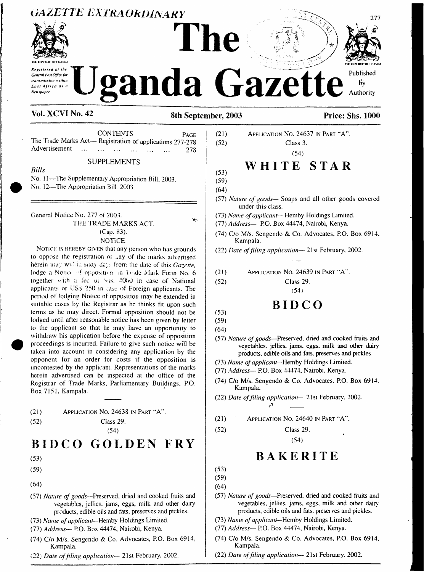# *GAZEITE EXIRAORLfllXAR<sup>Y</sup>* <sup>277</sup>





#### **Vol. XCVI No. 42 8th September, 2003 Price: Shs. 1000**

CONTENTS Page The Trade Marks Act— Registration of applications 277-278 Advertisement ... ... ... ... ... ... 278

#### SUPPLEMENTS

*Bills* No. 11—The Supplementary Appropriation Bill, 2003. No. 12—The Appropriation Bill 2003.

General Notice No. 277 of 2003. THE TRADE MARKS ACT. (Cap. 83). NOTICE.

NOTICE IS HEREBY GIVEN that any person who has grounds to oppose the registration of any of the marks advertised herein may within sixty day. from the date of this *Gazette*, lodge a None, of oppositum on Toide Mark Form No. 6 together with a fee of Sus. 40(a) in case of National applicants or US\$ 250 in case of Foreign applicants. The period of lodging Notice of opposition may he extended in suitable cases by the Registrar as he thinks fit upon such terms as he may direct. Formal opposition should not be lodged until after reasonable notice has been given by letter to the applicant so that he may have an opportunity to withdraw his application before the expense of opposition proceedings is incurred. Failure to give such notice will be taken into account in considering any application by the opponent for an order for costs if the opposition is uncontested by the applicant. Representations of the marks herein advertised can be inspected at the office of the Registrar of Trade Marks, Parliamentary Buildings, P.O. Box 7151, Kampala.

- (21) Application No. 24638 in Part "A".
- (52) Class 29.

(54)

### **BIDCO GOLDEN FRY**

- (53)
- (59)
- (64)
- (57) *Nature of goods*—Preserved, dried and cooked fruits and vegetables, jellies, jams, eggs, milk and other dairy' products, edible oils and fats, preserves and pickles.
- (73) *Name ofapplicant*—Hemby Holdings Limited.
- (77) *Address* P.O. Box 44474, Nairobi, Kenya.
- (74) C/o M/s. Sengendo & Co. Advocates, P.O. Box 6914, Kampala.
- (22; *Date offiling application—* 21st February, 2002.

| (21) | APPLICATION NO. 24637 IN PART "A". |  |
|------|------------------------------------|--|
| (52) | Class 3.                           |  |
|      | (54)                               |  |
| (53) | WHITE STAR                         |  |

(59)

- (64)
- (57) *Nature of goods* Soaps and all other goods covered under this class.
- (73) *Name ofapplicant—* Hemby Holdings Limited.
- (77) *Address—* P.O. Box 44474, Nairobi, Kenya.
- (74) C/o M/s. Sengendo & Co. Advocates, P.O. Box 6914. Kampala.
- (22) *Date offiling application—* 21st February, 2002.
- (2!) Application No. 24639 in Part "A".
- (52) Class 29.

 $(54)$ 

#### **BIDCO**

- (64)
- (57) *Nature of goods—*Preserved, dried and cooked fruits and vegetables, jellies, jams. eggs. milk and other dairy' products, edible oils and fats, preserves and pickles
- (73) *Name ofapplicant—*Hemby Holdings Limited.
- (77) *Address—* P.O. Box 44474, Nairobi. Kenya.
- (74) C/o M/s. Sengendo & Co. Advocates. P.O. Box 6914. Kampala.
- (22) *Date offiling application—* 21st February. 2002. *,\_\_\_\_*
- (21) Application No. 24640 in Part "A".
- (52) Class 29.

(54)

#### **BAKERITE**

- (53)
- (59) (64)
- (57) *Nature ofgoods—*Preserved, dried and cooked fruits and vegetables, jellies, jams, eggs, milk and other dairy products, edible oils and fats, preserves and pickles.
- (73) *Name ofapplicant—*Hemby Holdings Limited.
- (77) *Address—* P.O. Box 44474, Nairobi, Kenya.
- (74) C/o M/s. Sengendo & Co. Advocates, P.O. Box 6914, Kampala.
- (22) *Date offiling application—* 21 st February. 2002.

<sup>(53)</sup> (59)